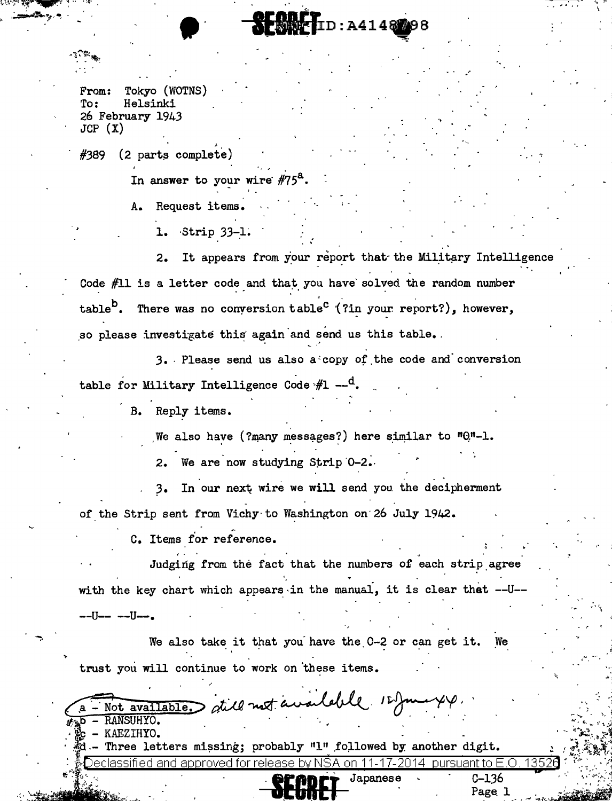## **RFREE TID: A4148298**

From: Tokyo (WOTNS) To: Helsinki 26 February 1943  $JCP(X)$ 

(2 parts complete) #389

In answer to your wire  $#75^a$ .

Request items. Α.

1. Strip 33-1.

It appears from your report that the Military Intelligence  $2.$ Code #11 is a letter code and that you have solved the random number table<sup>D</sup>. There was no conversion table<sup>C</sup> (?in your report?), however, so please investigate this again and send us this table.

3. Please send us also a copy of the code and conversion table for Military Intelligence Code  $#1 - ^Q$ .

B. Reply items.

We also have (?many messages?) here similar to  $"0"$ -1.

We are now studying Strip 0-2.  $2.$ 

In our next wire we will send you the decipherment  $3.$ of the Strip sent from Vichy to Washington on 26 July 1942.

C. Items for reference.

Judging from the fact that the numbers of each strip agree with the key chart which appears in the manual, it is clear that --U--

\_\_U\_\_ \_\_U\_\_

We also take it that you have the 0-2 or can get it. We trust you will continue to work on these items.

Not available dill not available 12 Juin 44. **b** - RANSUHYO. c - KAEZIHYO. - Three letters missing; probably "1" followed by another digit. Declassified and approved for release by NSA on 11-17-2014 pursuant to E.O 13526  $C-136$ 

Page 1